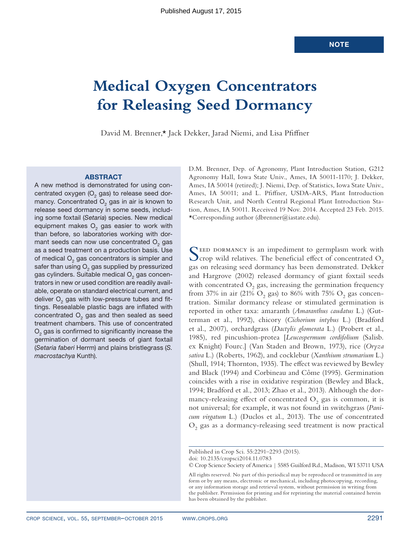# **Medical Oxygen Concentrators for Releasing Seed Dormancy**

David M. Brenner,\* Jack Dekker, Jarad Niemi, and Lisa Pfiffner

#### **ABSTRACT**

A new method is demonstrated for using concentrated oxygen  $(O<sub>2</sub>$  gas) to release seed dormancy. Concentrated  $O<sub>2</sub>$  gas in air is known to release seed dormancy in some seeds, including some foxtail (*Setaria*) species. New medical equipment makes  $O<sub>2</sub>$  gas easier to work with than before, so laboratories working with dormant seeds can now use concentrated  $O<sub>2</sub>$  gas as a seed treatment on a production basis. Use of medical  $O<sub>2</sub>$  gas concentrators is simpler and safer than using  $O<sub>2</sub>$  gas supplied by pressurized gas cylinders. Suitable medical  $O<sub>2</sub>$  gas concentrators in new or used condition are readily available, operate on standard electrical current, and deliver  $O<sub>2</sub>$  gas with low-pressure tubes and fittings. Resealable plastic bags are inflated with concentrated  $O<sub>2</sub>$  gas and then sealed as seed treatment chambers. This use of concentrated  $O<sub>2</sub>$  gas is confirmed to significantly increase the germination of dormant seeds of giant foxtail (*Setaria faberi* Herrm) and plains bristlegrass (*S. macrostachya* Kunth).

D.M. Brenner, Dep. of Agronomy, Plant Introduction Station, G212 Agronomy Hall, Iowa State Univ., Ames, IA 50011-1170; J. Dekker, Ames, IA 50014 (retired); J. Niemi, Dep. of Statistics, Iowa State Univ., Ames, IA 50011; and L. Pfiffner, USDA-ARS, Plant Introduction Research Unit, and North Central Regional Plant Introduction Station, Ames, IA 50011. Received 19 Nov. 2014. Accepted 23 Feb. 2015. \*Corresponding author (dbrenner@iastate.edu).

SEED DORMANCY is an impediment to germplasm work with crop wild relatives. The beneficial effect of concentrated  $O_2$ gas on releasing seed dormancy has been demonstrated. Dekker and Hargrove (2002) released dormancy of giant foxtail seeds with concentrated  $O_2$  gas, increasing the germination frequency from 37% in air (21%  $\rm O_2$  gas) to 86% with 75%  $\rm O_2$  gas concentration. Similar dormancy release or stimulated germination is reported in other taxa: amaranth (*Amaranthus caudatus* L.) (Gutterman et al., 1992), chicory (*Cichorium intybus* L.) (Bradford et al., 2007), orchardgrass (*Dactylis glomerata* L.) (Probert et al., 1985), red pincushion-protea [*Leucospermum cordifolium* (Salisb. ex Knight) Fourc.] (Van Staden and Brown, 1973), rice (*Oryza sativa* L.) (Roberts, 1962), and cocklebur (*Xanthium strumarium* L.) (Shull, 1914; Thornton, 1935). The effect was reviewed by Bewley and Black (1994) and Corbineau and Côme (1995). Germination coincides with a rise in oxidative respiration (Bewley and Black, 1994; Bradford et al., 2013; Zhao et al., 2013). Although the dormancy-releasing effect of concentrated  $O_2$  gas is common, it is not universal; for example, it was not found in switchgrass (*Panicum virgatum* L.) (Duclos et al., 2013). The use of concentrated  $\mathrm{O}_2$  gas as a dormancy-releasing seed treatment is now practical

Published in Crop Sci. 55:2291–2293 (2015). doi: 10.2135/cropsci2014.11.0783

© Crop Science Society of America | 5585 Guilford Rd., Madison, WI 53711 USA

All rights reserved. No part of this periodical may be reproduced or transmitted in any form or by any means, electronic or mechanical, including photocopying, recording, or any information storage and retrieval system, without permission in writing from the publisher. Permission for printing and for reprinting the material contained herein has been obtained by the publisher.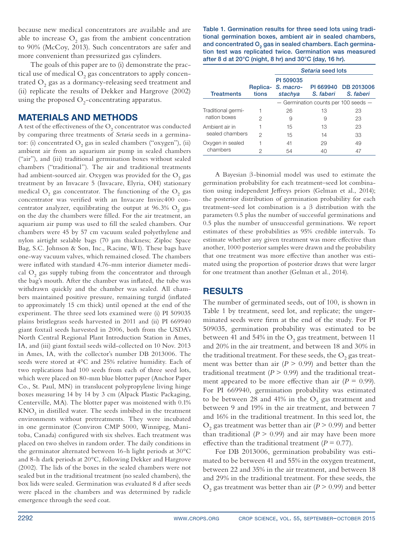because new medical concentrators are available and are able to increase  $O_2$  gas from the ambient concentration to 90% (McCoy, 2013). Such concentrators are safer and more convenient than pressurized gas cylinders.

The goals of this paper are to (i) demonstrate the practical use of medical  $O_2$  gas concentrators to apply concentrated  $\mathrm{O}_2$  gas as a dormancy-releasing seed treatment and (ii) replicate the results of Dekker and Hargrove (2002) using the proposed  $O_2$ -concentrating apparatus.

## Materials and Methods

A test of the effectiveness of the  $\mathrm{O}_2$  concentrator was conducted by comparing three treatments of *Setaria* seeds in a germinator: (i) concentrated  $O_2$  gas in sealed chambers ("oxygen"), (ii) ambient air from an aquarium air pump in sealed chambers ("air"), and (iii) traditional germination boxes without sealed chambers ("traditional"). The air and traditional treatments had ambient-sourced air. Oxygen was provided for the  $\mathrm{O}_2$  gas treatment by an Invacare 5 (Invacare, Elyria, OH) stationary medical  $\mathrm{O}_2$  gas concentrator. The functioning of the  $\mathrm{O}_2$  gas concentrator was verified with an Invacare Invirc400 concentrator analyzer, equilibrating the output at  $96.3\%$  O<sub>2</sub> gas on the day the chambers were filled. For the air treatment, an aquarium air pump was used to fill the sealed chambers. Our chambers were 45 by 57 cm vacuum sealed polyethylene and nylon airtight sealable bags (70 µm thickness; Ziploc Space Bag, S.C. Johnson & Son, Inc., Racine, WI). These bags have one-way vacuum valves, which remained closed. The chambers were inflated with standard 4.76-mm interior diameter medical  $O_2$  gas supply tubing from the concentrator and through the bag's mouth. After the chamber was inflated, the tube was withdrawn quickly and the chamber was sealed. All chambers maintained positive pressure, remaining turgid (inflated to approximately 15 cm thick) until opened at the end of the experiment. The three seed lots examined were (i) PI 509035 plains bristlegrass seeds harvested in 2011 and (ii) PI 669940 giant foxtail seeds harvested in 2006, both from the USDA's North Central Regional Plant Introduction Station in Ames, IA, and (iii) giant foxtail seeds wild-collected on 10 Nov. 2013 in Ames, IA, with the collector's number DB 2013006. The seeds were stored at 4°C and 25% relative humidity. Each of two replications had 100 seeds from each of three seed lots, which were placed on 80-mm blue blotter paper (Anchor Paper Co., St. Paul, MN) in translucent polypropylene living hinge boxes measuring 14 by 14 by 3 cm (Alpack Plastic Packaging, Centerville, MA). The blotter paper was moistened with 0.1%  $\mathrm{KNO}_3$  in distilled water. The seeds imbibed in the treatment environments without pretreatments. They were incubated in one germinator (Conviron CMP 5000, Winnipeg, Manitoba, Canada) configured with six shelves. Each treatment was placed on two shelves in random order. The daily conditions in the germinator alternated between 16-h light periods at 30°C and 8-h dark periods at 20°C, following Dekker and Hargrove (2002). The lids of the boxes in the sealed chambers were not sealed but in the traditional treatment (no sealed chambers), the box lids were sealed. Germination was evaluated 8 d after seeds were placed in the chambers and was determined by radicle emergence through the seed coat.

Table 1. Germination results for three seed lots using traditional germination boxes, ambient air in sealed chambers, and concentrated  $O<sub>2</sub>$  gas in sealed chambers. Each germination test was replicated twice. Germination was measured after 8 d at 20°C (night, 8 hr) and 30°C (day, 16 hr).

|                                    |       | Setaria seed lots                          |                                      |                                   |
|------------------------------------|-------|--------------------------------------------|--------------------------------------|-----------------------------------|
| <b>Treatments</b>                  | tions | PI 509035<br>Replica- S. macro-<br>stachya | S. faberi                            | PI 669940 DB 2013006<br>S. faberi |
|                                    |       |                                            | - Germination counts per 100 seeds - |                                   |
| Traditional germi-<br>nation boxes |       | 26                                         | 13                                   | 23                                |
|                                    | 2     | 9                                          | 9                                    | 23                                |
| Ambient air in<br>sealed chambers  |       | 15                                         | 13                                   | 23                                |
|                                    | 2     | 15                                         | 14                                   | 33                                |
| Oxygen in sealed<br>chambers       |       | 41                                         | 29                                   | 49                                |
|                                    | 2     | 54                                         | 40                                   | 47                                |

A Bayesian  $\beta$ -binomial model was used to estimate the germination probability for each treatment–seed lot combination using independent Jeffreys priors (Gelman et al., 2014); the posterior distribution of germination probability for each treatment–seed lot combination is a  $\beta$  distribution with the parameters 0.5 plus the number of successful germinations and 0.5 plus the number of unsuccessful germinations. We report estimates of these probabilities as 95% credible intervals. To estimate whether any given treatment was more effective than another, 1000 posterior samples were drawn and the probability that one treatment was more effective than another was estimated using the proportion of posterior draws that were larger for one treatment than another (Gelman et al., 2014).

## **RESULTS**

The number of germinated seeds, out of 100, is shown in Table 1 by treatment, seed lot, and replicate; the ungerminated seeds were firm at the end of the study. For PI 509035, germination probability was estimated to be between 41 and 54% in the  $O_2$  gas treatment, between 11 and 20% in the air treatment, and between 18 and 30% in the traditional treatment. For these seeds, the  $\mathrm{O}_2$  gas treatment was better than air  $(P > 0.99)$  and better than the traditional treatment ( $P > 0.99$ ) and the traditional treatment appeared to be more effective than air  $(P = 0.99)$ . For PI 669940, germination probability was estimated to be between 28 and 41% in the  $\mathrm{O}_2$  gas treatment and between 9 and 19% in the air treatment, and between 7 and 16% in the traditional treatment. In this seed lot, the  $O_2$  gas treatment was better than air ( $P > 0.99$ ) and better than traditional  $(P > 0.99)$  and air may have been more effective than the traditional treatment ( $P = 0.77$ ).

For DB 2013006, germination probability was estimated to be between 41 and 55% in the oxygen treatment, between 22 and 35% in the air treatment, and between 18 and 29% in the traditional treatment. For these seeds, the  $\text{O}_2$  gas treatment was better than air  $(P\geq 0.99)$  and better